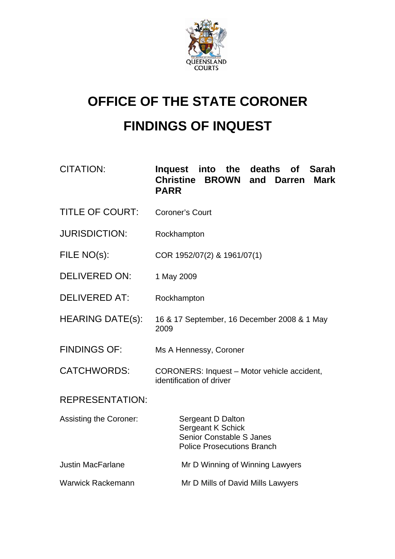

# **OFFICE OF THE STATE CORONER FINDINGS OF INQUEST**

| CITATION: | Inquest into the deaths of Sarah |  |  |  |
|-----------|----------------------------------|--|--|--|
|           | Christine BROWN and Darren Mark  |  |  |  |
|           | <b>PARR</b>                      |  |  |  |

- TITLE OF COURT: Coroner's Court
- JURISDICTION: Rockhampton
- FILE NO(s): COR 1952/07(2) & 1961/07(1)
- DELIVERED ON: 1 May 2009
- DELIVERED AT: Rockhampton
- HEARING DATE(s): 16 & 17 September, 16 December 2008 & 1 May 2009
- FINDINGS OF: Ms A Hennessy, Coroner
- CATCHWORDS: CORONERS: Inquest Motor vehicle accident, identification of driver

## REPRESENTATION:

| <b>Assisting the Coroner:</b> | Sergeant D Dalton<br>Sergeant K Schick<br>Senior Constable S Janes<br><b>Police Prosecutions Branch</b> |
|-------------------------------|---------------------------------------------------------------------------------------------------------|
| <b>Justin MacFarlane</b>      | Mr D Winning of Winning Lawyers                                                                         |
| <b>Warwick Rackemann</b>      | Mr D Mills of David Mills Lawyers                                                                       |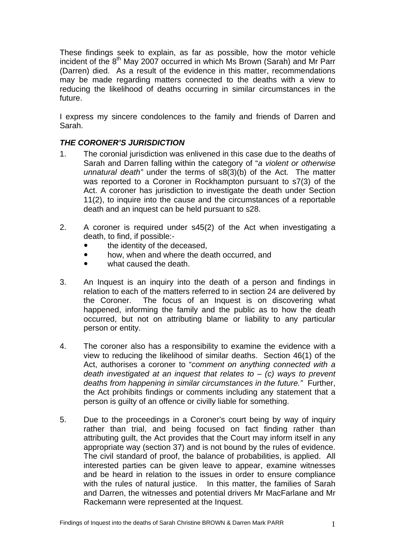These findings seek to explain, as far as possible, how the motor vehicle incident of the  $8<sup>th</sup>$  May 2007 occurred in which Ms Brown (Sarah) and Mr Parr (Darren) died. As a result of the evidence in this matter, recommendations may be made regarding matters connected to the deaths with a view to reducing the likelihood of deaths occurring in similar circumstances in the future.

I express my sincere condolences to the family and friends of Darren and Sarah.

#### *THE CORONER'S JURISDICTION*

- 1. The coronial jurisdiction was enlivened in this case due to the deaths of Sarah and Darren falling within the category of "*a violent or otherwise unnatural death"* under the terms of s8(3)(b) of the Act. The matter was reported to a Coroner in Rockhampton pursuant to s7(3) of the Act. A coroner has jurisdiction to investigate the death under Section 11(2), to inquire into the cause and the circumstances of a reportable death and an inquest can be held pursuant to s28.
- 2. A coroner is required under s45(2) of the Act when investigating a death, to find, if possible:
	- the identity of the deceased.
	- how, when and where the death occurred, and
	- what caused the death.
- 3. An Inquest is an inquiry into the death of a person and findings in relation to each of the matters referred to in section 24 are delivered by the Coroner. The focus of an Inquest is on discovering what happened, informing the family and the public as to how the death occurred, but not on attributing blame or liability to any particular person or entity.
- 4. The coroner also has a responsibility to examine the evidence with a view to reducing the likelihood of similar deaths. Section 46(1) of the Act, authorises a coroner to "*comment on anything connected with a death investigated at an inquest that relates to* – *(c) ways to prevent deaths from happening in similar circumstances in the future."* Further, the Act prohibits findings or comments including any statement that a person is guilty of an offence or civilly liable for something.
- 5. Due to the proceedings in a Coroner's court being by way of inquiry rather than trial, and being focused on fact finding rather than attributing guilt, the Act provides that the Court may inform itself in any appropriate way (section 37) and is not bound by the rules of evidence. The civil standard of proof, the balance of probabilities, is applied. All interested parties can be given leave to appear, examine witnesses and be heard in relation to the issues in order to ensure compliance with the rules of natural justice. In this matter, the families of Sarah and Darren, the witnesses and potential drivers Mr MacFarlane and Mr Rackemann were represented at the Inquest.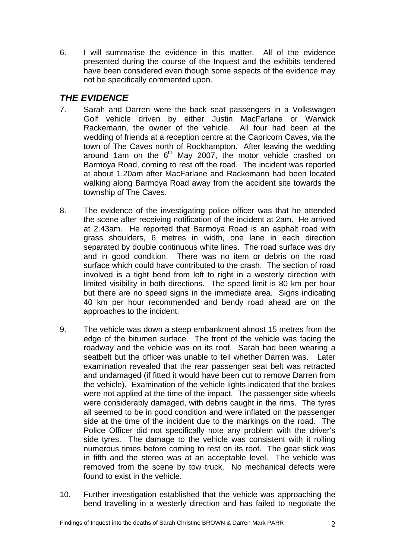6. I will summarise the evidence in this matter. All of the evidence presented during the course of the Inquest and the exhibits tendered have been considered even though some aspects of the evidence may not be specifically commented upon.

## *THE EVIDENCE*

- 7. Sarah and Darren were the back seat passengers in a Volkswagen Golf vehicle driven by either Justin MacFarlane or Warwick Rackemann, the owner of the vehicle. All four had been at the wedding of friends at a reception centre at the Capricorn Caves, via the town of The Caves north of Rockhampton. After leaving the wedding around 1am on the  $6<sup>th</sup>$  May 2007, the motor vehicle crashed on Barmoya Road, coming to rest off the road. The incident was reported at about 1.20am after MacFarlane and Rackemann had been located walking along Barmoya Road away from the accident site towards the township of The Caves.
- 8. The evidence of the investigating police officer was that he attended the scene after receiving notification of the incident at 2am. He arrived at 2.43am. He reported that Barmoya Road is an asphalt road with grass shoulders, 6 metres in width, one lane in each direction separated by double continuous white lines. The road surface was dry and in good condition. There was no item or debris on the road surface which could have contributed to the crash. The section of road involved is a tight bend from left to right in a westerly direction with limited visibility in both directions. The speed limit is 80 km per hour but there are no speed signs in the immediate area. Signs indicating 40 km per hour recommended and bendy road ahead are on the approaches to the incident.
- 9. The vehicle was down a steep embankment almost 15 metres from the edge of the bitumen surface. The front of the vehicle was facing the roadway and the vehicle was on its roof. Sarah had been wearing a seatbelt but the officer was unable to tell whether Darren was. Later examination revealed that the rear passenger seat belt was retracted and undamaged (if fitted it would have been cut to remove Darren from the vehicle). Examination of the vehicle lights indicated that the brakes were not applied at the time of the impact. The passenger side wheels were considerably damaged, with debris caught in the rims. The tyres all seemed to be in good condition and were inflated on the passenger side at the time of the incident due to the markings on the road. The Police Officer did not specifically note any problem with the driver's side tyres. The damage to the vehicle was consistent with it rolling numerous times before coming to rest on its roof. The gear stick was in fifth and the stereo was at an acceptable level. The vehicle was removed from the scene by tow truck. No mechanical defects were found to exist in the vehicle.
- 10. Further investigation established that the vehicle was approaching the bend travelling in a westerly direction and has failed to negotiate the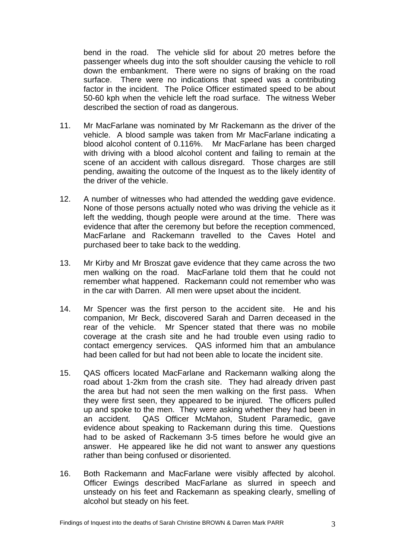bend in the road. The vehicle slid for about 20 metres before the passenger wheels dug into the soft shoulder causing the vehicle to roll down the embankment. There were no signs of braking on the road surface. There were no indications that speed was a contributing factor in the incident. The Police Officer estimated speed to be about 50-60 kph when the vehicle left the road surface. The witness Weber described the section of road as dangerous.

- 11. Mr MacFarlane was nominated by Mr Rackemann as the driver of the vehicle. A blood sample was taken from Mr MacFarlane indicating a blood alcohol content of 0.116%. Mr MacFarlane has been charged with driving with a blood alcohol content and failing to remain at the scene of an accident with callous disregard. Those charges are still pending, awaiting the outcome of the Inquest as to the likely identity of the driver of the vehicle.
- 12. A number of witnesses who had attended the wedding gave evidence. None of those persons actually noted who was driving the vehicle as it left the wedding, though people were around at the time. There was evidence that after the ceremony but before the reception commenced, MacFarlane and Rackemann travelled to the Caves Hotel and purchased beer to take back to the wedding.
- 13. Mr Kirby and Mr Broszat gave evidence that they came across the two men walking on the road. MacFarlane told them that he could not remember what happened. Rackemann could not remember who was in the car with Darren. All men were upset about the incident.
- 14. Mr Spencer was the first person to the accident site. He and his companion, Mr Beck, discovered Sarah and Darren deceased in the rear of the vehicle. Mr Spencer stated that there was no mobile coverage at the crash site and he had trouble even using radio to contact emergency services. QAS informed him that an ambulance had been called for but had not been able to locate the incident site.
- 15. QAS officers located MacFarlane and Rackemann walking along the road about 1-2km from the crash site. They had already driven past the area but had not seen the men walking on the first pass. When they were first seen, they appeared to be injured. The officers pulled up and spoke to the men. They were asking whether they had been in an accident. QAS Officer McMahon, Student Paramedic, gave evidence about speaking to Rackemann during this time. Questions had to be asked of Rackemann 3-5 times before he would give an answer. He appeared like he did not want to answer any questions rather than being confused or disoriented.
- 16. Both Rackemann and MacFarlane were visibly affected by alcohol. Officer Ewings described MacFarlane as slurred in speech and unsteady on his feet and Rackemann as speaking clearly, smelling of alcohol but steady on his feet.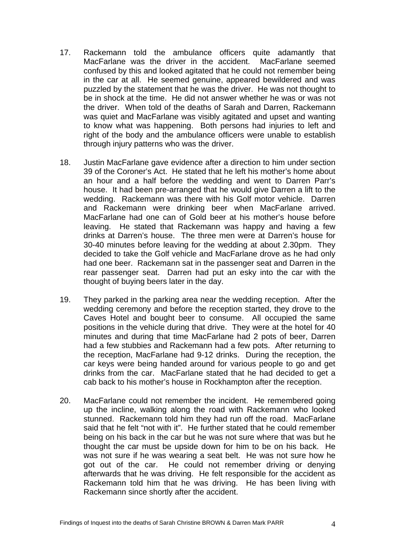- 17. Rackemann told the ambulance officers quite adamantly that MacFarlane was the driver in the accident. MacFarlane seemed confused by this and looked agitated that he could not remember being in the car at all. He seemed genuine, appeared bewildered and was puzzled by the statement that he was the driver. He was not thought to be in shock at the time. He did not answer whether he was or was not the driver. When told of the deaths of Sarah and Darren, Rackemann was quiet and MacFarlane was visibly agitated and upset and wanting to know what was happening. Both persons had injuries to left and right of the body and the ambulance officers were unable to establish through injury patterns who was the driver.
- 18. Justin MacFarlane gave evidence after a direction to him under section 39 of the Coroner's Act. He stated that he left his mother's home about an hour and a half before the wedding and went to Darren Parr's house. It had been pre-arranged that he would give Darren a lift to the wedding. Rackemann was there with his Golf motor vehicle. Darren and Rackemann were drinking beer when MacFarlane arrived. MacFarlane had one can of Gold beer at his mother's house before leaving. He stated that Rackemann was happy and having a few drinks at Darren's house. The three men were at Darren's house for 30-40 minutes before leaving for the wedding at about 2.30pm. They decided to take the Golf vehicle and MacFarlane drove as he had only had one beer. Rackemann sat in the passenger seat and Darren in the rear passenger seat. Darren had put an esky into the car with the thought of buying beers later in the day.
- 19. They parked in the parking area near the wedding reception. After the wedding ceremony and before the reception started, they drove to the Caves Hotel and bought beer to consume. All occupied the same positions in the vehicle during that drive. They were at the hotel for 40 minutes and during that time MacFarlane had 2 pots of beer, Darren had a few stubbies and Rackemann had a few pots. After returning to the reception, MacFarlane had 9-12 drinks. During the reception, the car keys were being handed around for various people to go and get drinks from the car. MacFarlane stated that he had decided to get a cab back to his mother's house in Rockhampton after the reception.
- 20. MacFarlane could not remember the incident. He remembered going up the incline, walking along the road with Rackemann who looked stunned. Rackemann told him they had run off the road. MacFarlane said that he felt "not with it". He further stated that he could remember being on his back in the car but he was not sure where that was but he thought the car must be upside down for him to be on his back. He was not sure if he was wearing a seat belt. He was not sure how he got out of the car. He could not remember driving or denying afterwards that he was driving. He felt responsible for the accident as Rackemann told him that he was driving. He has been living with Rackemann since shortly after the accident.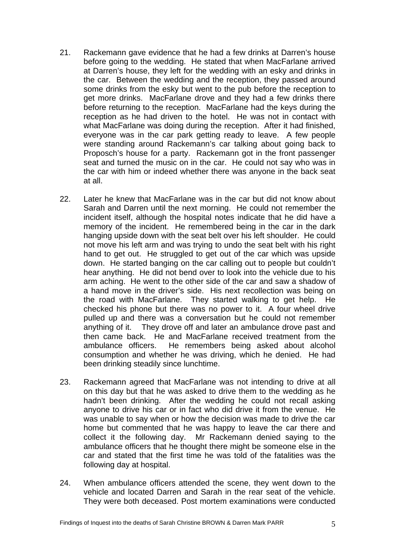- 21. Rackemann gave evidence that he had a few drinks at Darren's house before going to the wedding. He stated that when MacFarlane arrived at Darren's house, they left for the wedding with an esky and drinks in the car. Between the wedding and the reception, they passed around some drinks from the esky but went to the pub before the reception to get more drinks. MacFarlane drove and they had a few drinks there before returning to the reception. MacFarlane had the keys during the reception as he had driven to the hotel. He was not in contact with what MacFarlane was doing during the reception. After it had finished, everyone was in the car park getting ready to leave. A few people were standing around Rackemann's car talking about going back to Proposch's house for a party. Rackemann got in the front passenger seat and turned the music on in the car. He could not say who was in the car with him or indeed whether there was anyone in the back seat at all.
- 22. Later he knew that MacFarlane was in the car but did not know about Sarah and Darren until the next morning. He could not remember the incident itself, although the hospital notes indicate that he did have a memory of the incident. He remembered being in the car in the dark hanging upside down with the seat belt over his left shoulder. He could not move his left arm and was trying to undo the seat belt with his right hand to get out. He struggled to get out of the car which was upside down. He started banging on the car calling out to people but couldn't hear anything. He did not bend over to look into the vehicle due to his arm aching. He went to the other side of the car and saw a shadow of a hand move in the driver's side. His next recollection was being on the road with MacFarlane. They started walking to get help. He checked his phone but there was no power to it. A four wheel drive pulled up and there was a conversation but he could not remember anything of it. They drove off and later an ambulance drove past and then came back. He and MacFarlane received treatment from the ambulance officers. He remembers being asked about alcohol consumption and whether he was driving, which he denied. He had been drinking steadily since lunchtime.
- 23. Rackemann agreed that MacFarlane was not intending to drive at all on this day but that he was asked to drive them to the wedding as he hadn't been drinking. After the wedding he could not recall asking anyone to drive his car or in fact who did drive it from the venue. He was unable to say when or how the decision was made to drive the car home but commented that he was happy to leave the car there and collect it the following day. Mr Rackemann denied saying to the ambulance officers that he thought there might be someone else in the car and stated that the first time he was told of the fatalities was the following day at hospital.
- 24. When ambulance officers attended the scene, they went down to the vehicle and located Darren and Sarah in the rear seat of the vehicle. They were both deceased. Post mortem examinations were conducted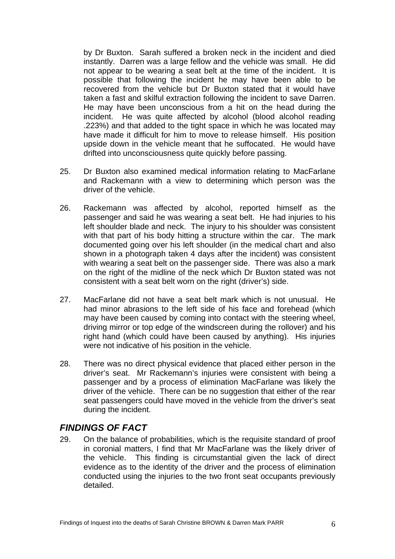by Dr Buxton. Sarah suffered a broken neck in the incident and died instantly. Darren was a large fellow and the vehicle was small. He did not appear to be wearing a seat belt at the time of the incident. It is possible that following the incident he may have been able to be recovered from the vehicle but Dr Buxton stated that it would have taken a fast and skilful extraction following the incident to save Darren. He may have been unconscious from a hit on the head during the incident. He was quite affected by alcohol (blood alcohol reading .223%) and that added to the tight space in which he was located may have made it difficult for him to move to release himself. His position upside down in the vehicle meant that he suffocated. He would have drifted into unconsciousness quite quickly before passing.

- 25. Dr Buxton also examined medical information relating to MacFarlane and Rackemann with a view to determining which person was the driver of the vehicle.
- 26. Rackemann was affected by alcohol, reported himself as the passenger and said he was wearing a seat belt. He had injuries to his left shoulder blade and neck. The injury to his shoulder was consistent with that part of his body hitting a structure within the car. The mark documented going over his left shoulder (in the medical chart and also shown in a photograph taken 4 days after the incident) was consistent with wearing a seat belt on the passenger side. There was also a mark on the right of the midline of the neck which Dr Buxton stated was not consistent with a seat belt worn on the right (driver's) side.
- 27. MacFarlane did not have a seat belt mark which is not unusual. He had minor abrasions to the left side of his face and forehead (which may have been caused by coming into contact with the steering wheel, driving mirror or top edge of the windscreen during the rollover) and his right hand (which could have been caused by anything). His injuries were not indicative of his position in the vehicle.
- 28. There was no direct physical evidence that placed either person in the driver's seat. Mr Rackemann's injuries were consistent with being a passenger and by a process of elimination MacFarlane was likely the driver of the vehicle. There can be no suggestion that either of the rear seat passengers could have moved in the vehicle from the driver's seat during the incident.

## *FINDINGS OF FACT*

29. On the balance of probabilities, which is the requisite standard of proof in coronial matters, I find that Mr MacFarlane was the likely driver of the vehicle. This finding is circumstantial given the lack of direct evidence as to the identity of the driver and the process of elimination conducted using the injuries to the two front seat occupants previously detailed.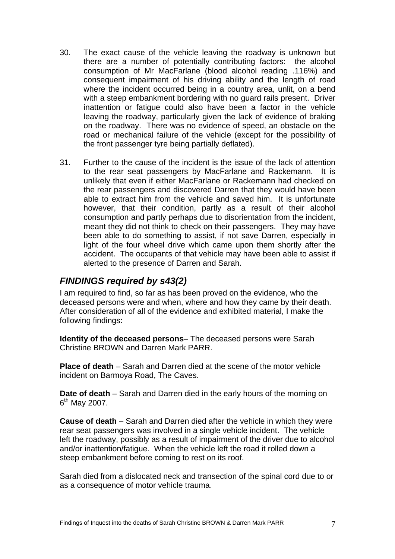- 30. The exact cause of the vehicle leaving the roadway is unknown but there are a number of potentially contributing factors: the alcohol consumption of Mr MacFarlane (blood alcohol reading .116%) and consequent impairment of his driving ability and the length of road where the incident occurred being in a country area, unlit, on a bend with a steep embankment bordering with no guard rails present. Driver inattention or fatigue could also have been a factor in the vehicle leaving the roadway, particularly given the lack of evidence of braking on the roadway. There was no evidence of speed, an obstacle on the road or mechanical failure of the vehicle (except for the possibility of the front passenger tyre being partially deflated).
- 31. Further to the cause of the incident is the issue of the lack of attention to the rear seat passengers by MacFarlane and Rackemann. It is unlikely that even if either MacFarlane or Rackemann had checked on the rear passengers and discovered Darren that they would have been able to extract him from the vehicle and saved him. It is unfortunate however, that their condition, partly as a result of their alcohol consumption and partly perhaps due to disorientation from the incident, meant they did not think to check on their passengers. They may have been able to do something to assist, if not save Darren, especially in light of the four wheel drive which came upon them shortly after the accident. The occupants of that vehicle may have been able to assist if alerted to the presence of Darren and Sarah.

## *FINDINGS required by s43(2)*

I am required to find, so far as has been proved on the evidence, who the deceased persons were and when, where and how they came by their death. After consideration of all of the evidence and exhibited material, I make the following findings:

**Identity of the deceased persons**– The deceased persons were Sarah Christine BROWN and Darren Mark PARR.

**Place of death** – Sarah and Darren died at the scene of the motor vehicle incident on Barmoya Road, The Caves.

**Date of death** – Sarah and Darren died in the early hours of the morning on  $6<sup>th</sup>$  May 2007.

**Cause of death** – Sarah and Darren died after the vehicle in which they were rear seat passengers was involved in a single vehicle incident. The vehicle left the roadway, possibly as a result of impairment of the driver due to alcohol and/or inattention/fatigue. When the vehicle left the road it rolled down a steep embankment before coming to rest on its roof.

Sarah died from a dislocated neck and transection of the spinal cord due to or as a consequence of motor vehicle trauma.